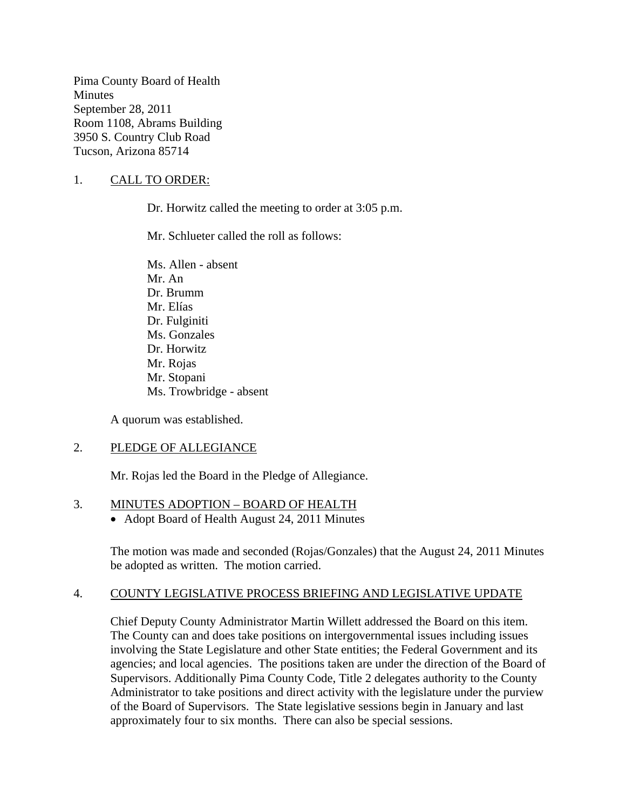Pima County Board of Health **Minutes** September 28, 2011 Room 1108, Abrams Building 3950 S. Country Club Road Tucson, Arizona 85714

# 1. CALL TO ORDER:

Dr. Horwitz called the meeting to order at 3:05 p.m.

Mr. Schlueter called the roll as follows:

Ms. Allen - absent Mr. An Dr. Brumm Mr. Elías Dr. Fulginiti Ms. Gonzales Dr. Horwitz Mr. Rojas Mr. Stopani Ms. Trowbridge - absent

A quorum was established.

# 2. PLEDGE OF ALLEGIANCE

Mr. Rojas led the Board in the Pledge of Allegiance.

# 3. MINUTES ADOPTION – BOARD OF HEALTH

• Adopt Board of Health August 24, 2011 Minutes

The motion was made and seconded (Rojas/Gonzales) that the August 24, 2011 Minutes be adopted as written. The motion carried.

# 4. COUNTY LEGISLATIVE PROCESS BRIEFING AND LEGISLATIVE UPDATE

Chief Deputy County Administrator Martin Willett addressed the Board on this item. The County can and does take positions on intergovernmental issues including issues involving the State Legislature and other State entities; the Federal Government and its agencies; and local agencies. The positions taken are under the direction of the Board of Supervisors. Additionally Pima County Code, Title 2 delegates authority to the County Administrator to take positions and direct activity with the legislature under the purview of the Board of Supervisors. The State legislative sessions begin in January and last approximately four to six months. There can also be special sessions.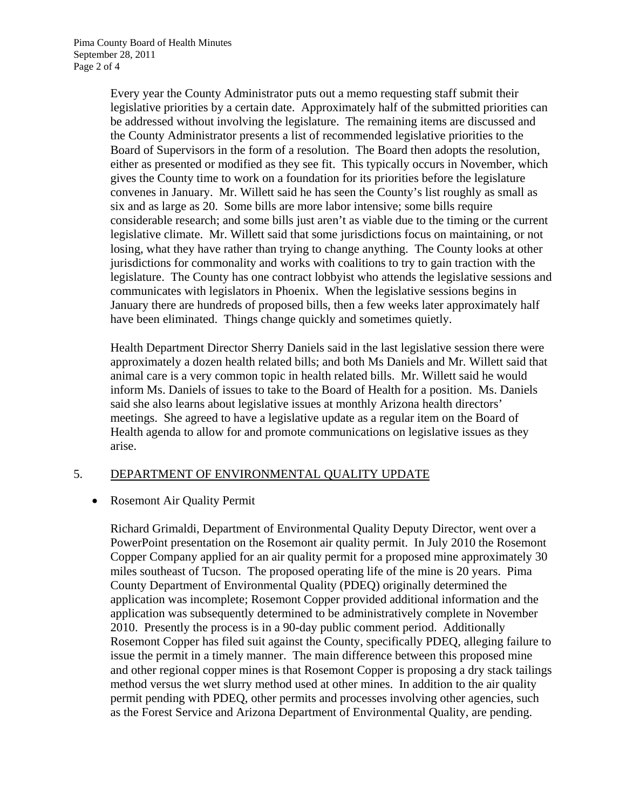Every year the County Administrator puts out a memo requesting staff submit their legislative priorities by a certain date. Approximately half of the submitted priorities can be addressed without involving the legislature. The remaining items are discussed and the County Administrator presents a list of recommended legislative priorities to the Board of Supervisors in the form of a resolution. The Board then adopts the resolution, either as presented or modified as they see fit. This typically occurs in November, which gives the County time to work on a foundation for its priorities before the legislature convenes in January. Mr. Willett said he has seen the County's list roughly as small as six and as large as 20. Some bills are more labor intensive; some bills require considerable research; and some bills just aren't as viable due to the timing or the current legislative climate. Mr. Willett said that some jurisdictions focus on maintaining, or not losing, what they have rather than trying to change anything. The County looks at other jurisdictions for commonality and works with coalitions to try to gain traction with the legislature. The County has one contract lobbyist who attends the legislative sessions and communicates with legislators in Phoenix. When the legislative sessions begins in January there are hundreds of proposed bills, then a few weeks later approximately half have been eliminated. Things change quickly and sometimes quietly.

Health Department Director Sherry Daniels said in the last legislative session there were approximately a dozen health related bills; and both Ms Daniels and Mr. Willett said that animal care is a very common topic in health related bills. Mr. Willett said he would inform Ms. Daniels of issues to take to the Board of Health for a position. Ms. Daniels said she also learns about legislative issues at monthly Arizona health directors' meetings. She agreed to have a legislative update as a regular item on the Board of Health agenda to allow for and promote communications on legislative issues as they arise.

# 5. DEPARTMENT OF ENVIRONMENTAL QUALITY UPDATE

# • Rosemont Air Quality Permit

Richard Grimaldi, Department of Environmental Quality Deputy Director, went over a PowerPoint presentation on the Rosemont air quality permit. In July 2010 the Rosemont Copper Company applied for an air quality permit for a proposed mine approximately 30 miles southeast of Tucson. The proposed operating life of the mine is 20 years. Pima County Department of Environmental Quality (PDEQ) originally determined the application was incomplete; Rosemont Copper provided additional information and the application was subsequently determined to be administratively complete in November 2010. Presently the process is in a 90-day public comment period. Additionally Rosemont Copper has filed suit against the County, specifically PDEQ, alleging failure to issue the permit in a timely manner. The main difference between this proposed mine and other regional copper mines is that Rosemont Copper is proposing a dry stack tailings method versus the wet slurry method used at other mines. In addition to the air quality permit pending with PDEQ, other permits and processes involving other agencies, such as the Forest Service and Arizona Department of Environmental Quality, are pending.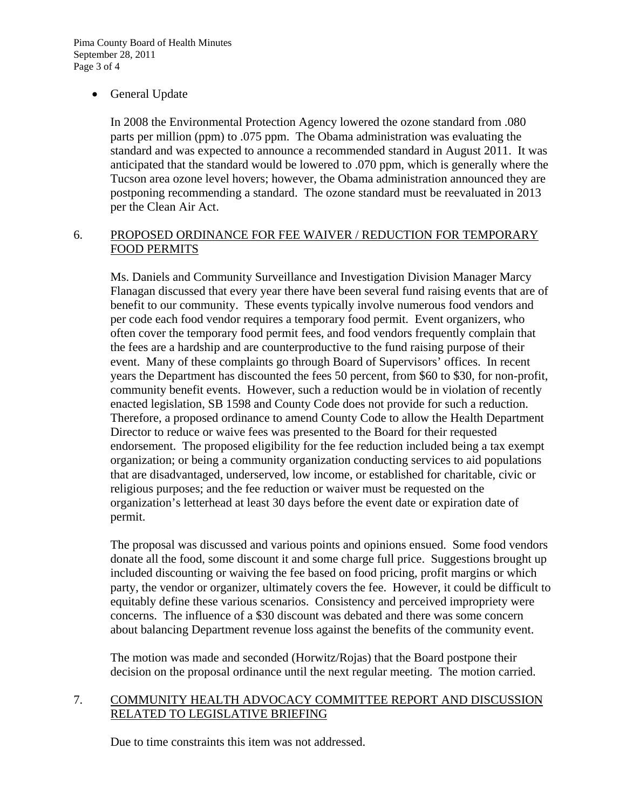# General Update

In 2008 the Environmental Protection Agency lowered the ozone standard from .080 parts per million (ppm) to .075 ppm. The Obama administration was evaluating the standard and was expected to announce a recommended standard in August 2011. It was anticipated that the standard would be lowered to .070 ppm, which is generally where the Tucson area ozone level hovers; however, the Obama administration announced they are postponing recommending a standard. The ozone standard must be reevaluated in 2013 per the Clean Air Act.

# 6. PROPOSED ORDINANCE FOR FEE WAIVER / REDUCTION FOR TEMPORARY FOOD PERMITS

Ms. Daniels and Community Surveillance and Investigation Division Manager Marcy Flanagan discussed that every year there have been several fund raising events that are of benefit to our community. These events typically involve numerous food vendors and per code each food vendor requires a temporary food permit. Event organizers, who often cover the temporary food permit fees, and food vendors frequently complain that the fees are a hardship and are counterproductive to the fund raising purpose of their event. Many of these complaints go through Board of Supervisors' offices. In recent years the Department has discounted the fees 50 percent, from \$60 to \$30, for non-profit, community benefit events. However, such a reduction would be in violation of recently enacted legislation, SB 1598 and County Code does not provide for such a reduction. Therefore, a proposed ordinance to amend County Code to allow the Health Department Director to reduce or waive fees was presented to the Board for their requested endorsement. The proposed eligibility for the fee reduction included being a tax exempt organization; or being a community organization conducting services to aid populations that are disadvantaged, underserved, low income, or established for charitable, civic or religious purposes; and the fee reduction or waiver must be requested on the organization's letterhead at least 30 days before the event date or expiration date of permit.

The proposal was discussed and various points and opinions ensued. Some food vendors donate all the food, some discount it and some charge full price. Suggestions brought up included discounting or waiving the fee based on food pricing, profit margins or which party, the vendor or organizer, ultimately covers the fee. However, it could be difficult to equitably define these various scenarios. Consistency and perceived impropriety were concerns. The influence of a \$30 discount was debated and there was some concern about balancing Department revenue loss against the benefits of the community event.

The motion was made and seconded (Horwitz/Rojas) that the Board postpone their decision on the proposal ordinance until the next regular meeting. The motion carried.

# 7. COMMUNITY HEALTH ADVOCACY COMMITTEE REPORT AND DISCUSSION RELATED TO LEGISLATIVE BRIEFING

Due to time constraints this item was not addressed.